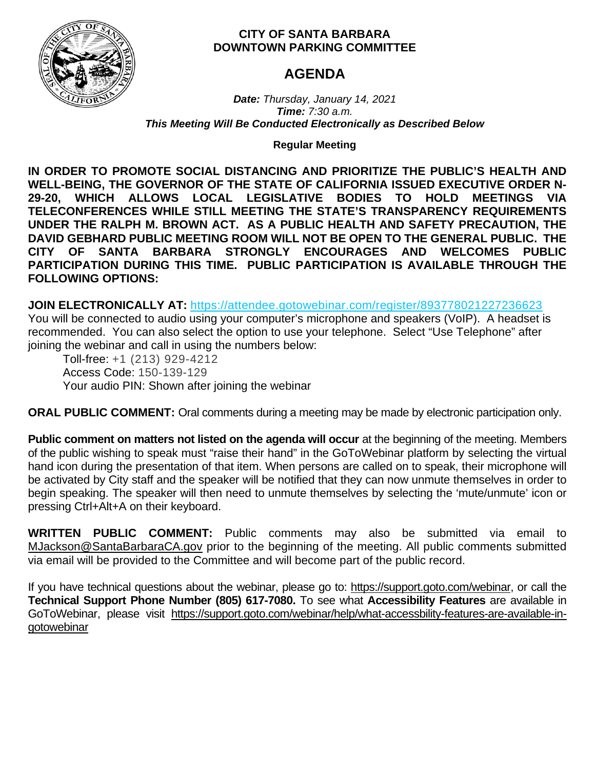

# **CITY OF SANTA BARBARA DOWNTOWN PARKING COMMITTEE**

# **AGENDA**

*Date: Thursday, January 14, 2021 Time: 7:30 a.m. This Meeting Will Be Conducted Electronically as Described Below*

**Regular Meeting**

**IN ORDER TO PROMOTE SOCIAL DISTANCING AND PRIORITIZE THE PUBLIC'S HEALTH AND WELL-BEING, THE GOVERNOR OF THE STATE OF CALIFORNIA ISSUED EXECUTIVE ORDER N-29-20, WHICH ALLOWS LOCAL LEGISLATIVE BODIES TO HOLD MEETINGS VIA TELECONFERENCES WHILE STILL MEETING THE STATE'S TRANSPARENCY REQUIREMENTS UNDER THE RALPH M. BROWN ACT. AS A PUBLIC HEALTH AND SAFETY PRECAUTION, THE DAVID GEBHARD PUBLIC MEETING ROOM WILL NOT BE OPEN TO THE GENERAL PUBLIC. THE CITY OF SANTA BARBARA STRONGLY ENCOURAGES AND WELCOMES PUBLIC PARTICIPATION DURING THIS TIME. PUBLIC PARTICIPATION IS AVAILABLE THROUGH THE FOLLOWING OPTIONS:**

**JOIN ELECTRONICALLY AT:** <https://attendee.gotowebinar.com/register/893778021227236623>

You will be connected to audio using your computer's microphone and speakers (VoIP). A headset is recommended. You can also select the option to use your telephone. Select "Use Telephone" after joining the webinar and call in using the numbers below:

Toll-free: +1 (213) 929-4212 Access Code: 150-139-129 Your audio PIN: Shown after joining the webinar

**ORAL PUBLIC COMMENT:** Oral comments during a meeting may be made by electronic participation only.

**Public comment on matters not listed on the agenda will occur** at the beginning of the meeting. Members of the public wishing to speak must "raise their hand" in the GoToWebinar platform by selecting the virtual hand icon during the presentation of that item. When persons are called on to speak, their microphone will be activated by City staff and the speaker will be notified that they can now unmute themselves in order to begin speaking. The speaker will then need to unmute themselves by selecting the 'mute/unmute' icon or pressing Ctrl+Alt+A on their keyboard.

**WRITTEN PUBLIC COMMENT:** Public comments may also be submitted via email to [MJackson@SantaBarbaraCA.gov](mailto:MJackson@SantaBarbaraCA.gov) prior to the beginning of the meeting. All public comments submitted via email will be provided to the Committee and will become part of the public record.

If you have technical questions about the webinar, please go to: [https://support.goto.com/webinar,](https://support.goto.com/webinar) or call the **Technical Support Phone Number (805) 617-7080.** To see what **Accessibility Features** are available in GoToWebinar, please visit [https://support.goto.com/webinar/help/what-accessbility-features-are-available-in](https://support.goto.com/webinar/help/what-accessbility-features-are-available-in-gotowebinar)[gotowebinar](https://support.goto.com/webinar/help/what-accessbility-features-are-available-in-gotowebinar)